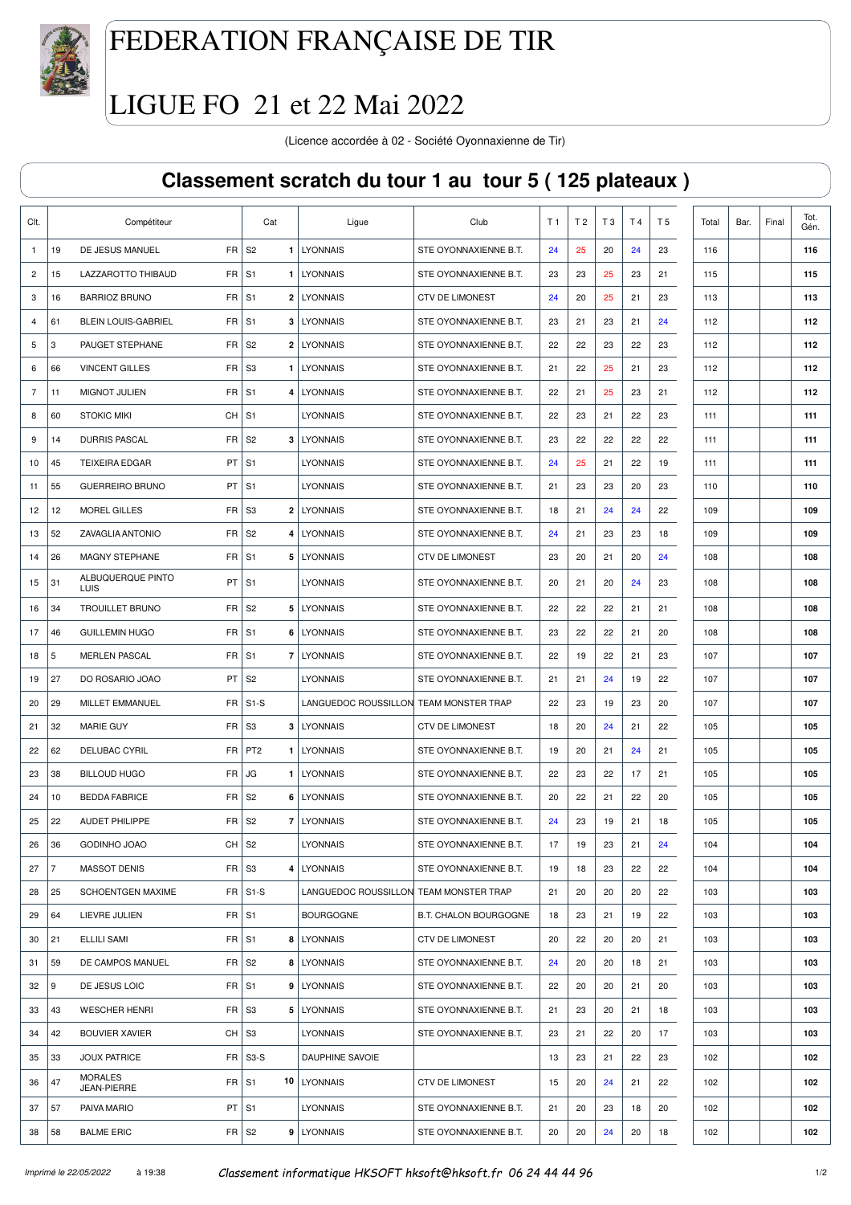

## FEDERATION FRANÇAISE DE TIR

## LIGUE FO 21 et 22 Mai 2022

(Licence accordée à 02 - Société Oyonnaxienne de Tir)

## **Classement scratch du tour 1 au tour 5 ( 125 plateaux )**

|                |                |                               |                     | Cat                   | Ligue                                  | Club                         | T 1 | T 2 | T <sub>3</sub> | T 4 | T <sub>5</sub> | Total | Bar. | Final | Tot.<br>Gén. |
|----------------|----------------|-------------------------------|---------------------|-----------------------|----------------------------------------|------------------------------|-----|-----|----------------|-----|----------------|-------|------|-------|--------------|
| $\mathbf{1}$   | 19             | DE JESUS MANUEL               | FR                  | S <sub>2</sub>        | 1   LYONNAIS                           | STE OYONNAXIENNE B.T.        | 24  | 25  | 20             | 24  | 23             | 116   |      |       | 116          |
| $\overline{c}$ | 15             | LAZZAROTTO THIBAUD            | FR                  | S <sub>1</sub>        | 1   LYONNAIS                           | STE OYONNAXIENNE B.T.        | 23  | 23  | 25             | 23  | 21             | 115   |      |       | 115          |
| 3              | 16             | <b>BARRIOZ BRUNO</b>          | FR                  | S <sub>1</sub>        | 2   LYONNAIS                           | <b>CTV DE LIMONEST</b>       | 24  | 20  | 25             | 21  | 23             | 113   |      |       | 113          |
| $\overline{4}$ | 61             | <b>BLEIN LOUIS-GABRIEL</b>    | FR                  | S <sub>1</sub>        | 3   LYONNAIS                           | STE OYONNAXIENNE B.T.        | 23  | 21  | 23             | 21  | 24             | 112   |      |       | 112          |
| 5              | 3              | PAUGET STEPHANE               | FR                  | S <sub>2</sub>        | 2   LYONNAIS                           | STE OYONNAXIENNE B.T.        | 22  | 22  | 23             | 22  | 23             | 112   |      |       | 112          |
| 6              | 66             | <b>VINCENT GILLES</b>         | FR.                 | S <sub>3</sub><br>1   | <b>LYONNAIS</b>                        | STE OYONNAXIENNE B.T.        | 21  | 22  | 25             | 21  | 23             | 112   |      |       | 112          |
| 7              | 11             | <b>MIGNOT JULIEN</b>          | FR                  | S <sub>1</sub>        | 4   LYONNAIS                           | STE OYONNAXIENNE B.T.        | 22  | 21  | 25             | 23  | 21             | 112   |      |       | 112          |
| 8              | 60             | <b>STOKIC MIKI</b>            | CH                  | S <sub>1</sub>        | <b>LYONNAIS</b>                        | STE OYONNAXIENNE B.T.        | 22  | 23  | 21             | 22  | 23             | 111   |      |       | 111          |
| 9              | 14             | <b>DURRIS PASCAL</b>          | FR                  | S <sub>2</sub>        | 3   LYONNAIS                           | STE OYONNAXIENNE B.T.        | 23  | 22  | 22             | 22  | 22             | 111   |      |       | 111          |
| 10             | 45             | <b>TEIXEIRA EDGAR</b>         | PT                  | S1                    | <b>LYONNAIS</b>                        | STE OYONNAXIENNE B.T.        | 24  | 25  | 21             | 22  | 19             | 111   |      |       | 111          |
| 11             | 55             | <b>GUERREIRO BRUNO</b>        | PT                  | S <sub>1</sub>        | <b>LYONNAIS</b>                        | STE OYONNAXIENNE B.T.        | 21  | 23  | 23             | 20  | 23             | 110   |      |       | 110          |
| 12             | 12             | <b>MOREL GILLES</b>           | FR                  | S3                    | 2   LYONNAIS                           | STE OYONNAXIENNE B.T.        | 18  | 21  | 24             | 24  | 22             | 109   |      |       | 109          |
| 13             | 52             | ZAVAGLIA ANTONIO              | FR                  | S <sub>2</sub>        | 4   LYONNAIS                           | STE OYONNAXIENNE B.T.        | 24  | 21  | 23             | 23  | 18             | 109   |      |       | 109          |
| 14             | 26             | <b>MAGNY STEPHANE</b>         | FR                  | S <sub>1</sub>        | 5   LYONNAIS                           | <b>CTV DE LIMONEST</b>       | 23  | 20  | 21             | 20  | 24             | 108   |      |       | 108          |
| 15             | 31             | ALBUQUERQUE PINTO<br>LUIS     | PT                  | S <sub>1</sub>        | <b>LYONNAIS</b>                        | STE OYONNAXIENNE B.T.        | 20  | 21  | 20             | 24  | 23             | 108   |      |       | 108          |
| 16             | 34             | <b>TROUILLET BRUNO</b>        | FR                  | S <sub>2</sub>        | 5   LYONNAIS                           | STE OYONNAXIENNE B.T.        | 22  | 22  | 22             | 21  | 21             | 108   |      |       | 108          |
| 17             | 46             | <b>GUILLEMIN HUGO</b>         | FR                  | S <sub>1</sub>        | 6   LYONNAIS                           | STE OYONNAXIENNE B.T.        | 23  | 22  | 22             | 21  | 20             | 108   |      |       | 108          |
| 18             | 5              | <b>MERLEN PASCAL</b>          | FR.                 | S <sub>1</sub><br>7   | <b>LYONNAIS</b>                        | STE OYONNAXIENNE B.T.        | 22  | 19  | 22             | 21  | 23             | 107   |      |       | 107          |
| 19             | 27             | DO ROSARIO JOAO               | PT                  | S <sub>2</sub>        | LYONNAIS                               | STE OYONNAXIENNE B.T.        | 21  | 21  | 24             | 19  | 22             | 107   |      |       | 107          |
| 20             | 29             | <b>MILLET EMMANUEL</b>        | FR.                 | $S1-S$                | LANGUEDOC ROUSSILLON TEAM MONSTER TRAP |                              | 22  | 23  | 19             | 23  | 20             | 107   |      |       | 107          |
| 21             | 32             | <b>MARIE GUY</b>              | FR                  | S3                    | 3   LYONNAIS                           | <b>CTV DE LIMONEST</b>       | 18  | 20  | 24             | 21  | 22             | 105   |      |       | 105          |
| 22             | 62             | <b>DELUBAC CYRIL</b>          | FR                  | PT <sub>2</sub><br>1. | LYONNAIS                               | STE OYONNAXIENNE B.T.        | 19  | 20  | 21             | 24  | 21             | 105   |      |       | 105          |
| 23             | 38             | <b>BILLOUD HUGO</b>           | FR                  | JG<br>1.              | LYONNAIS                               | STE OYONNAXIENNE B.T.        | 22  | 23  | 22             | 17  | 21             | 105   |      |       | 105          |
| 24             | 10             | <b>BEDDA FABRICE</b>          | FR.                 | S <sub>2</sub><br>6   | <b>LYONNAIS</b>                        | STE OYONNAXIENNE B.T.        | 20  | 22  | 21             | 22  | 20             | 105   |      |       | 105          |
| 25             | 22             | <b>AUDET PHILIPPE</b>         | FR                  | S <sub>2</sub>        | 7   LYONNAIS                           | STE OYONNAXIENNE B.T.        | 24  | 23  | 19             | 21  | 18             | 105   |      |       | 105          |
| 26             | 36             | GODINHO JOAO                  | $CH$ S <sub>2</sub> |                       | LYONNAIS                               | STE OYONNAXIENNE B.T.        | 17  | 19  | 23             | 21  | 24             | 104   |      |       | 104          |
| 27             | $\overline{7}$ | <b>MASSOT DENIS</b>           | $FR$ S3             |                       | 4   LYONNAIS                           | STE OYONNAXIENNE B.T.        | 19  | 18  | 23             | 22  | 22             | 104   |      |       | 104          |
| 28             | 25             | SCHOENTGEN MAXIME             |                     | $FR$ S1-S             | LANGUEDOC ROUSSILLON TEAM MONSTER TRAP |                              | 21  | 20  | 20             | 20  | 22             | 103   |      |       | 103          |
| 29             | 64             | LIEVRE JULIEN                 | $FR$ S1             |                       | <b>BOURGOGNE</b>                       | <b>B.T. CHALON BOURGOGNE</b> | 18  | 23  | 21             | 19  | 22             | 103   |      |       | 103          |
| 30             | 21             | ELLILI SAMI                   | $FR$ S1             |                       | 8   LYONNAIS                           | <b>CTV DE LIMONEST</b>       | 20  | 22  | 20             | 20  | 21             | 103   |      |       | 103          |
| 31             | 59             | DE CAMPOS MANUEL              | $FR$ S2             |                       | 8   LYONNAIS                           | STE OYONNAXIENNE B.T.        | 24  | 20  | 20             | 18  | 21             | 103   |      |       | 103          |
| 32             | 9              | DE JESUS LOIC                 | $FR$ S1             |                       | 9 LYONNAIS                             | STE OYONNAXIENNE B.T.        | 22  | 20  | 20             | 21  | 20             | 103   |      |       | 103          |
| 33             | 43             | <b>WESCHER HENRI</b>          | FR                  | S <sub>3</sub>        | 5   LYONNAIS                           | STE OYONNAXIENNE B.T.        | 21  | 23  | 20             | 21  | 18             | 103   |      |       | 103          |
| 34             | 42             | <b>BOUVIER XAVIER</b>         | $CH \,   \, S3$     |                       | <b>LYONNAIS</b>                        | STE OYONNAXIENNE B.T.        | 23  | 21  | 22             | 20  | 17             | 103   |      |       | 103          |
| 35             | 33             | <b>JOUX PATRICE</b>           |                     | $FR$ S3-S             | DAUPHINE SAVOIE                        |                              | 13  | 23  | 21             | 22  | 23             | 102   |      |       | 102          |
| 36             | 47             | <b>MORALES</b><br>JEAN-PIERRE | $FR$ S1             |                       | 10 LYONNAIS                            | <b>CTV DE LIMONEST</b>       | 15  | 20  | 24             | 21  | 22             | 102   |      |       | 102          |
| 37             | 57             | PAIVA MARIO                   | $PT$ S1             |                       | <b>LYONNAIS</b>                        | STE OYONNAXIENNE B.T.        | 21  | 20  | 23             | 18  | 20             | 102   |      |       | 102          |
| 38             | 58             | <b>BALME ERIC</b>             |                     | $FR$ S2               | 9 LYONNAIS                             | STE OYONNAXIENNE B.T.        | 20  | 20  | 24             | 20  | 18             | 102   |      |       | 102          |